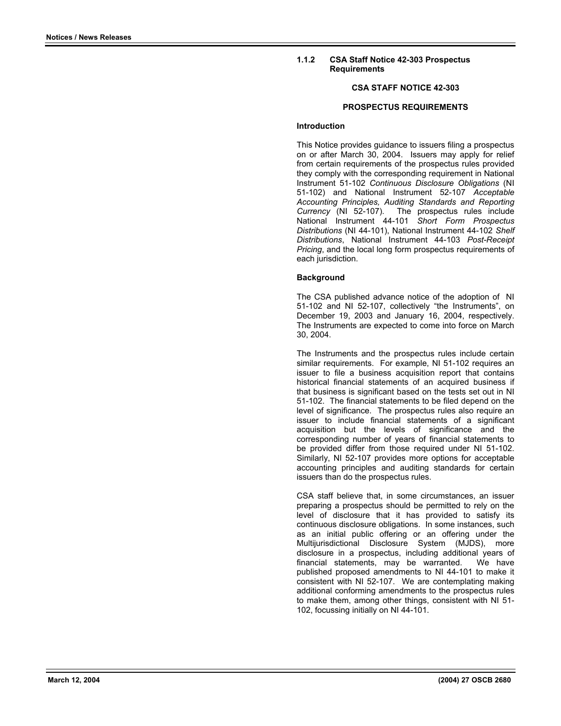## **1.1.2 CSA Staff Notice 42-303 Prospectus Requirements**

# **CSA STAFF NOTICE 42-303**

# **PROSPECTUS REQUIREMENTS**

#### **Introduction**

This Notice provides guidance to issuers filing a prospectus on or after March 30, 2004. Issuers may apply for relief from certain requirements of the prospectus rules provided they comply with the corresponding requirement in National Instrument 51-102 *Continuous Disclosure Obligations* (NI 51-102) and National Instrument 52-107 *Acceptable Accounting Principles, Auditing Standards and Reporting Currency* (NI 52-107). The prospectus rules include National Instrument 44-101 *Short Form Prospectus Distributions* (NI 44-101), National Instrument 44-102 *Shelf Distributions*, National Instrument 44-103 *Post-Receipt Pricing*, and the local long form prospectus requirements of each jurisdiction.

### **Background**

The CSA published advance notice of the adoption of NI 51-102 and NI 52-107, collectively "the Instruments", on December 19, 2003 and January 16, 2004, respectively. The Instruments are expected to come into force on March 30, 2004.

The Instruments and the prospectus rules include certain similar requirements. For example, NI 51-102 requires an issuer to file a business acquisition report that contains historical financial statements of an acquired business if that business is significant based on the tests set out in NI 51-102. The financial statements to be filed depend on the level of significance. The prospectus rules also require an issuer to include financial statements of a significant acquisition but the levels of significance and the corresponding number of years of financial statements to be provided differ from those required under NI 51-102. Similarly, NI 52-107 provides more options for acceptable accounting principles and auditing standards for certain issuers than do the prospectus rules.

CSA staff believe that, in some circumstances, an issuer preparing a prospectus should be permitted to rely on the level of disclosure that it has provided to satisfy its continuous disclosure obligations. In some instances, such as an initial public offering or an offering under the Multijurisdictional Disclosure System (MJDS), more disclosure in a prospectus, including additional years of financial statements, may be warranted. We have published proposed amendments to NI 44-101 to make it consistent with NI 52-107. We are contemplating making additional conforming amendments to the prospectus rules to make them, among other things, consistent with NI 51- 102, focussing initially on NI 44-101.